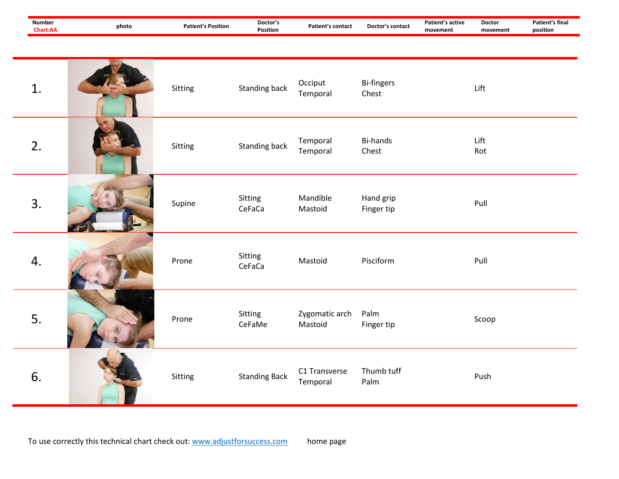| <b>Number</b><br>Chart:AA | photo | <b>Patient's Position</b> | Doctor's<br>Position | <b>Patient's contact</b>  | Doctor's contact           | Patient's active<br>movement | <b>Doctor</b><br>movement | <b>Patient's final</b><br>position |
|---------------------------|-------|---------------------------|----------------------|---------------------------|----------------------------|------------------------------|---------------------------|------------------------------------|
| 1.                        |       | Sitting                   | <b>Standing back</b> | Occiput<br>Temporal       | <b>Bi-fingers</b><br>Chest |                              | Lift                      |                                    |
| 2.                        |       | Sitting                   | <b>Standing back</b> | Temporal<br>Temporal      | <b>Bi-hands</b><br>Chest   |                              | Lift<br>Rot               |                                    |
| 3.                        |       | Supine                    | Sitting<br>CeFaCa    | Mandible<br>Mastoid       | Hand grip<br>Finger tip    |                              | Pull                      |                                    |
| 4.                        |       | Prone                     | Sitting<br>CeFaCa    | Mastoid                   | Pisciform                  |                              | Pull                      |                                    |
| 5.                        |       | Prone                     | Sitting<br>CeFaMe    | Zygomatic arch<br>Mastoid | Palm<br>Finger tip         |                              | Scoop                     |                                    |
| 6.                        |       | Sitting                   | <b>Standing Back</b> | C1 Transverse<br>Temporal | Thumb tuff<br>Palm         |                              | Push                      |                                    |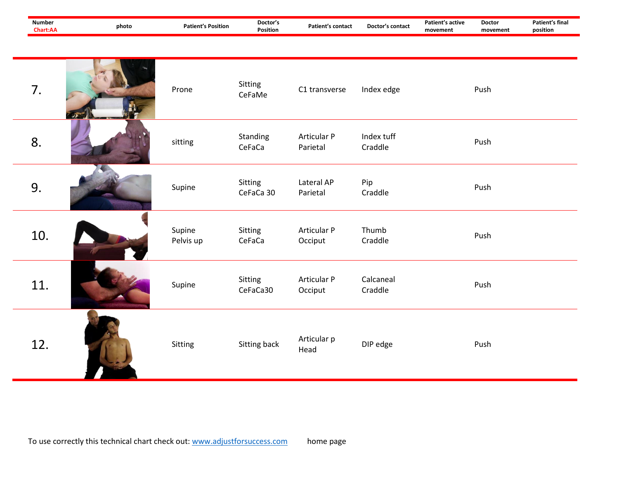| <b>Number</b><br>Chart:AA | photo | <b>Patient's Position</b> | Doctor's<br>Position | <b>Patient's contact</b> | Doctor's contact      | Patient's active<br>movement | <b>Doctor</b><br>movement | Patient's final<br>position |
|---------------------------|-------|---------------------------|----------------------|--------------------------|-----------------------|------------------------------|---------------------------|-----------------------------|
| 7.                        |       | Prone                     | Sitting<br>CeFaMe    | C1 transverse            | Index edge            |                              | Push                      |                             |
| 8.                        |       | sitting                   | Standing<br>CeFaCa   | Articular P<br>Parietal  | Index tuff<br>Craddle |                              | Push                      |                             |
| 9.                        |       | Supine                    | Sitting<br>CeFaCa 30 | Lateral AP<br>Parietal   | Pip<br>Craddle        |                              | Push                      |                             |
| 10.                       |       | Supine<br>Pelvis up       | Sitting<br>CeFaCa    | Articular P<br>Occiput   | Thumb<br>Craddle      |                              | Push                      |                             |
| 11.                       |       | Supine                    | Sitting<br>CeFaCa30  | Articular P<br>Occiput   | Calcaneal<br>Craddle  |                              | Push                      |                             |
| 12.                       |       | Sitting                   | Sitting back         | Articular p<br>Head      | DIP edge              |                              | Push                      |                             |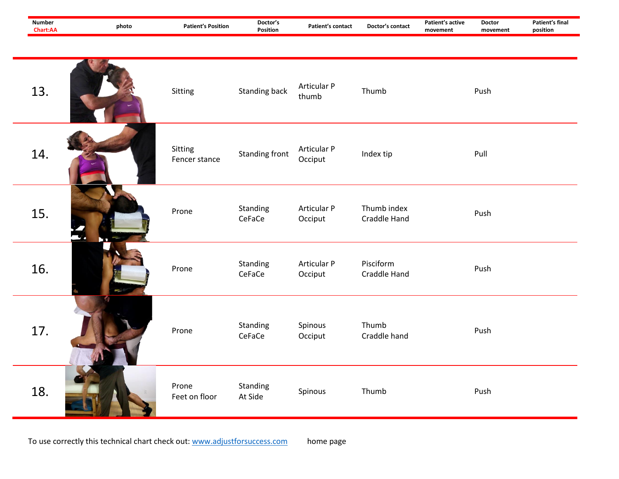| <b>Number</b><br>Chart:AA | photo | <b>Patient's Position</b> | Doctor's<br>Position  | Patient's contact             | Doctor's contact                   | Patient's active<br>movement | <b>Doctor</b><br>movement | <b>Patient's final</b><br>position |
|---------------------------|-------|---------------------------|-----------------------|-------------------------------|------------------------------------|------------------------------|---------------------------|------------------------------------|
|                           |       |                           |                       |                               |                                    |                              |                           |                                    |
| 13.                       |       | Sitting                   | <b>Standing back</b>  | Articular P<br>thumb          | Thumb                              |                              | Push                      |                                    |
| 14.                       |       | Sitting<br>Fencer stance  | <b>Standing front</b> | Articular P<br>Occiput        | Index tip                          |                              | Pull                      |                                    |
| 15.                       |       | Prone                     | Standing<br>CeFaCe    | Articular P<br>Occiput        | Thumb index<br><b>Craddle Hand</b> |                              | Push                      |                                    |
| 16.                       |       | Prone                     | Standing<br>CeFaCe    | <b>Articular P</b><br>Occiput | Pisciform<br>Craddle Hand          |                              | Push                      |                                    |
| 17.                       |       | Prone                     | Standing<br>CeFaCe    | Spinous<br>Occiput            | Thumb<br>Craddle hand              |                              | Push                      |                                    |
| 18.                       |       | Prone<br>Feet on floor    | Standing<br>At Side   | Spinous                       | Thumb                              |                              | Push                      |                                    |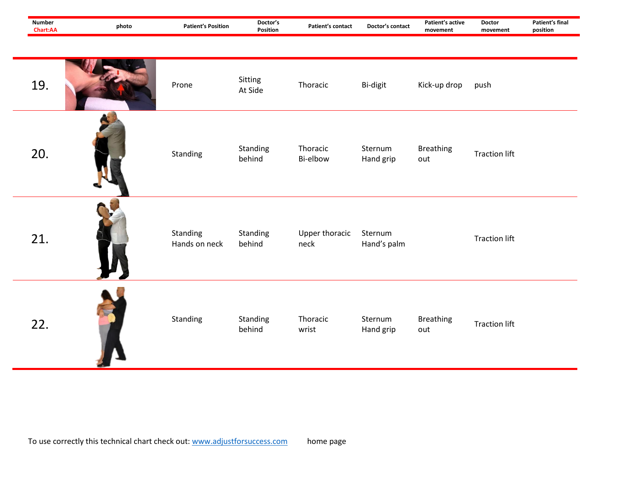| <b>Number</b><br>Chart:AA | photo | <b>Patient's Position</b> | Doctor's<br>Position | Patient's contact      | Doctor's contact       | Patient's active<br>movement | <b>Doctor</b><br>movement | <b>Patient's final</b><br>position |
|---------------------------|-------|---------------------------|----------------------|------------------------|------------------------|------------------------------|---------------------------|------------------------------------|
| 19.                       |       | Prone                     | Sitting<br>At Side   | Thoracic               | Bi-digit               | Kick-up drop                 | push                      |                                    |
| 20.                       |       | Standing                  | Standing<br>behind   | Thoracic<br>Bi-elbow   | Sternum<br>Hand grip   | <b>Breathing</b><br>out      | <b>Traction lift</b>      |                                    |
| 21.                       |       | Standing<br>Hands on neck | Standing<br>behind   | Upper thoracic<br>neck | Sternum<br>Hand's palm |                              | <b>Traction lift</b>      |                                    |
| 22.                       |       | Standing                  | Standing<br>behind   | Thoracic<br>wrist      | Sternum<br>Hand grip   | <b>Breathing</b><br>out      | <b>Traction lift</b>      |                                    |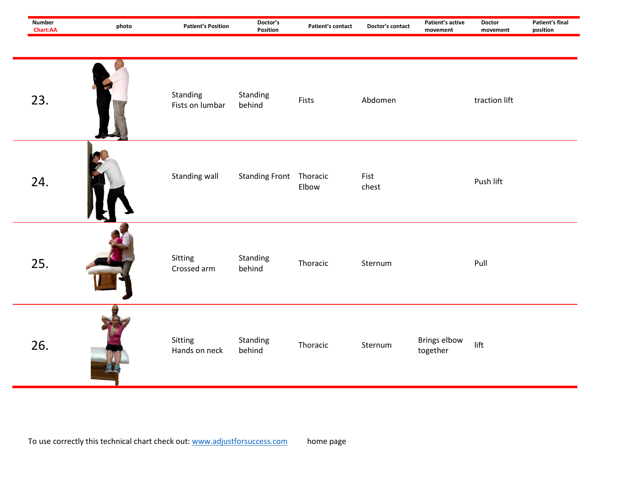| <b>Number</b><br>Chart:AA | photo | <b>Patient's Position</b>   | Doctor's<br>Position           | <b>Patient's contact</b> | Doctor's contact | Patient's active<br>movement | <b>Doctor</b><br>movement | Patient's final<br>position |
|---------------------------|-------|-----------------------------|--------------------------------|--------------------------|------------------|------------------------------|---------------------------|-----------------------------|
| 23.                       |       | Standing<br>Fists on lumbar | Standing<br>behind             | Fists                    | Abdomen          |                              | traction lift             |                             |
| 24.                       |       | Standing wall               | <b>Standing Front Thoracic</b> | Elbow                    | Fist<br>chest    |                              | Push lift                 |                             |
| 25.                       |       | Sitting<br>Crossed arm      | Standing<br>behind             | Thoracic                 | Sternum          |                              | Pull                      |                             |
| 26.                       |       | Sitting<br>Hands on neck    | Standing<br>behind             | Thoracic                 | Sternum          | Brings elbow<br>together     | $_{\mathrm{lift}}$        |                             |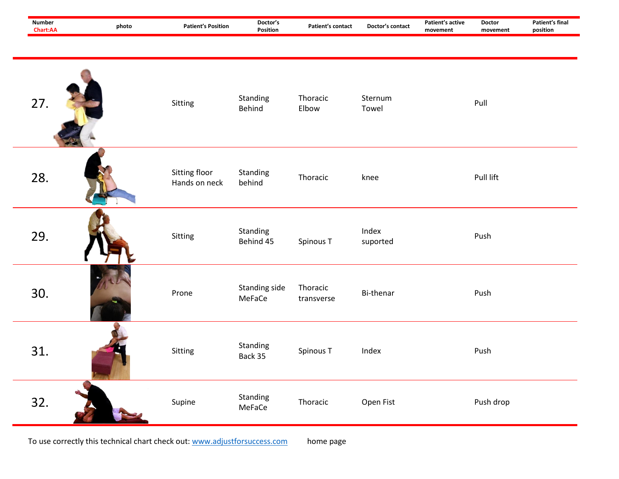| <b>Number</b><br>Chart:AA | photo | <b>Patient's Position</b>      | Doctor's<br>Position    | Patient's contact      | Doctor's contact  | Patient's active<br>movement | <b>Doctor</b><br>movement | Patient's final<br>position |
|---------------------------|-------|--------------------------------|-------------------------|------------------------|-------------------|------------------------------|---------------------------|-----------------------------|
| 27.                       |       | Sitting                        | Standing<br>Behind      | Thoracic<br>Elbow      | Sternum<br>Towel  |                              | Pull                      |                             |
| 28.                       |       | Sitting floor<br>Hands on neck | Standing<br>behind      | Thoracic               | knee              |                              | Pull lift                 |                             |
| 29.                       |       | Sitting                        | Standing<br>Behind 45   | Spinous T              | Index<br>suported |                              | Push                      |                             |
| 30.                       |       | Prone                          | Standing side<br>MeFaCe | Thoracic<br>transverse | Bi-thenar         |                              | Push                      |                             |
| 31.                       |       | Sitting                        | Standing<br>Back 35     | Spinous T              | Index             |                              | Push                      |                             |
| 32.                       |       | Supine                         | Standing<br>MeFaCe      | Thoracic               | Open Fist         |                              | Push drop                 |                             |

To use correctly this technical chart check out[: www.adjustforsuccess.com](http://www.adjustforsuccess.com/) home page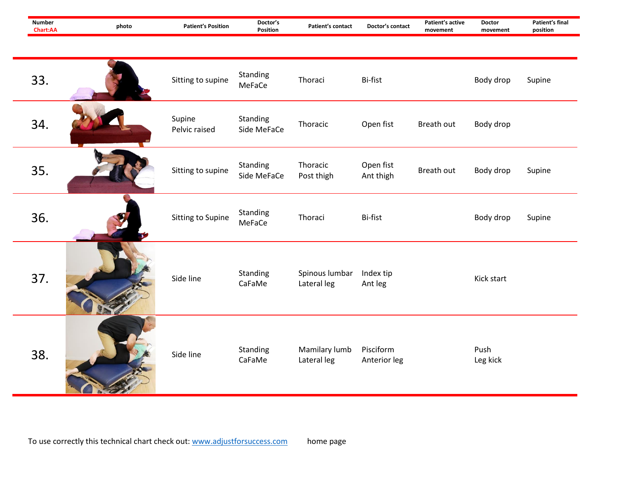| <b>Number</b><br>Chart:AA | photo | <b>Patient's Position</b> | Doctor's<br>Position    | Patient's contact             | Doctor's contact          | Patient's active<br>movement | <b>Doctor</b><br>movement | <b>Patient's final</b><br>position |
|---------------------------|-------|---------------------------|-------------------------|-------------------------------|---------------------------|------------------------------|---------------------------|------------------------------------|
|                           |       |                           |                         |                               |                           |                              |                           |                                    |
| 33.                       |       | Sitting to supine         | Standing<br>MeFaCe      | Thoraci                       | Bi-fist                   |                              | Body drop                 | Supine                             |
| 34.                       |       | Supine<br>Pelvic raised   | Standing<br>Side MeFaCe | Thoracic                      | Open fist                 | Breath out                   | Body drop                 |                                    |
| 35.                       |       | Sitting to supine         | Standing<br>Side MeFaCe | Thoracic<br>Post thigh        | Open fist<br>Ant thigh    | Breath out                   | Body drop                 | Supine                             |
| 36.                       |       | Sitting to Supine         | Standing<br>MeFaCe      | Thoraci                       | Bi-fist                   |                              | Body drop                 | Supine                             |
| 37.                       |       | Side line                 | Standing<br>CaFaMe      | Spinous lumbar<br>Lateral leg | Index tip<br>Ant leg      |                              | Kick start                |                                    |
| 38.                       |       | Side line                 | Standing<br>CaFaMe      | Mamilary lumb<br>Lateral leg  | Pisciform<br>Anterior leg |                              | Push<br>Leg kick          |                                    |